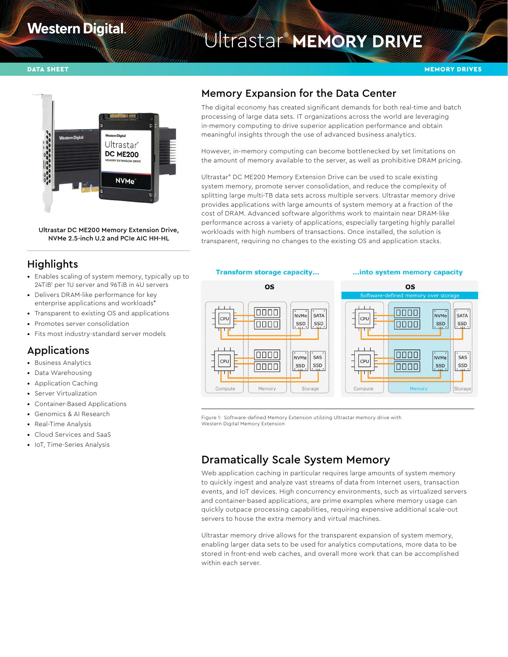# **Western Digital**

# Ultrastar® **MEMORY DRIVE**



Ultrastar DC ME200 Memory Extension Drive, NVMe 2.5-inch U.2 and PCIe AIC HH-HL

# **Highlights**

- Enables scaling of system memory, typically up to 24TiB1 per 1U server and 96TiB in 4U servers
- Delivers DRAM-like performance for key enterprise applications and workloads\*
- Transparent to existing OS and applications
- Promotes server consolidation
- Fits most industry-standard server models

# Applications

- Business Analytics
- Data Warehousing
- Application Caching
- Server Virtualization
- Container-Based Applications
- Genomics & AI Research
- Real-Time Analysis
- Cloud Services and SaaS
- IoT, Time-Series Analysis

# Memory Expansion for the Data Center

The digital economy has created significant demands for both real-time and batch processing of large data sets. IT organizations across the world are leveraging in-memory computing to drive superior application performance and obtain meaningful insights through the use of advanced business analytics.

However, in-memory computing can become bottlenecked by set limitations on the amount of memory available to the server, as well as prohibitive DRAM pricing.

Ultrastar® DC ME200 Memory Extension Drive can be used to scale existing system memory, promote server consolidation, and reduce the complexity of splitting large multi-TB data sets across multiple servers. Ultrastar memory drive provides applications with large amounts of system memory at a fraction of the cost of DRAM. Advanced software algorithms work to maintain near DRAM-like performance across a variety of applications, especially targeting highly parallel workloads with high numbers of transactions. Once installed, the solution is transparent, requiring no changes to the existing OS and application stacks.



#### ... into system memory capacity



Figure 1: Software-defined Memory Extension utilizing Ultrastar memory drive with Western Digital Memory Extension

# Dramatically Scale System Memory

Web application caching in particular requires large amounts of system memory to quickly ingest and analyze vast streams of data from Internet users, transaction events, and IoT devices. High concurrency environments, such as virtualized servers and container-based applications, are prime examples where memory usage can quickly outpace processing capabilities, requiring expensive additional scale-out servers to house the extra memory and virtual machines.

Ultrastar memory drive allows for the transparent expansion of system memory, enabling larger data sets to be used for analytics computations, more data to be stored in front-end web caches, and overall more work that can be accomplished within each server.